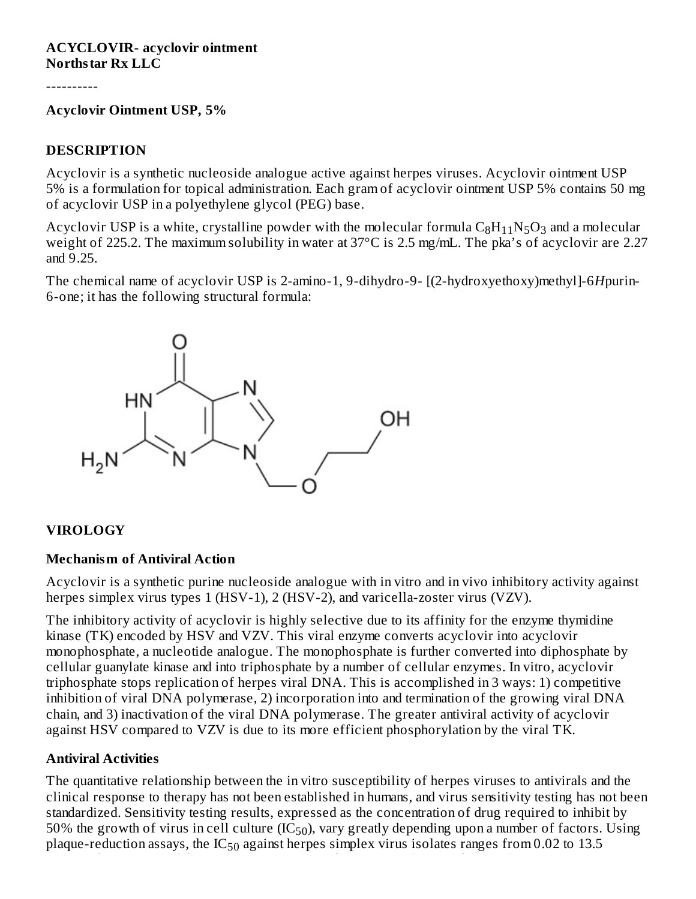#### **ACYCLOVIR- acyclovir ointment Northstar Rx LLC**

----------

#### **Acyclovir Ointment USP, 5%**

#### **DESCRIPTION**

Acyclovir is a synthetic nucleoside analogue active against herpes viruses. Acyclovir ointment USP 5% is a formulation for topical administration. Each gram of acyclovir ointment USP 5% contains 50 mg of acyclovir USP in a polyethylene glycol (PEG) base.

Acyclovir USP is a white, crystalline powder with the molecular formula  $\rm{C_8H_{11}N_5O_3}$  and a molecular weight of 225.2. The maximum solubility in water at 37°C is 2.5 mg/mL. The pka's of acyclovir are 2.27 and 9.25.

The chemical name of acyclovir USP is 2-amino-1, 9-dihydro-9- [(2-hydroxyethoxy)methyl]-6*H*purin-6-one; it has the following structural formula:



#### **VIROLOGY**

#### **Mechanism of Antiviral Action**

Acyclovir is a synthetic purine nucleoside analogue with in vitro and in vivo inhibitory activity against herpes simplex virus types 1 (HSV-1), 2 (HSV-2), and varicella-zoster virus (VZV).

The inhibitory activity of acyclovir is highly selective due to its affinity for the enzyme thymidine kinase (TK) encoded by HSV and VZV. This viral enzyme converts acyclovir into acyclovir monophosphate, a nucleotide analogue. The monophosphate is further converted into diphosphate by cellular guanylate kinase and into triphosphate by a number of cellular enzymes. In vitro, acyclovir triphosphate stops replication of herpes viral DNA. This is accomplished in 3 ways: 1) competitive inhibition of viral DNA polymerase, 2) incorporation into and termination of the growing viral DNA chain, and 3) inactivation of the viral DNA polymerase. The greater antiviral activity of acyclovir against HSV compared to VZV is due to its more efficient phosphorylation by the viral TK.

#### **Antiviral Activities**

The quantitative relationship between the in vitro susceptibility of herpes viruses to antivirals and the clinical response to therapy has not been established in humans, and virus sensitivity testing has not been standardized. Sensitivity testing results, expressed as the concentration of drug required to inhibit by 50% the growth of virus in cell culture (IC $_{50}$ ), vary greatly depending upon a number of factors. Using plaque-reduction assays, the IC $_{50}$  against herpes simplex virus isolates ranges from 0.02 to 13.5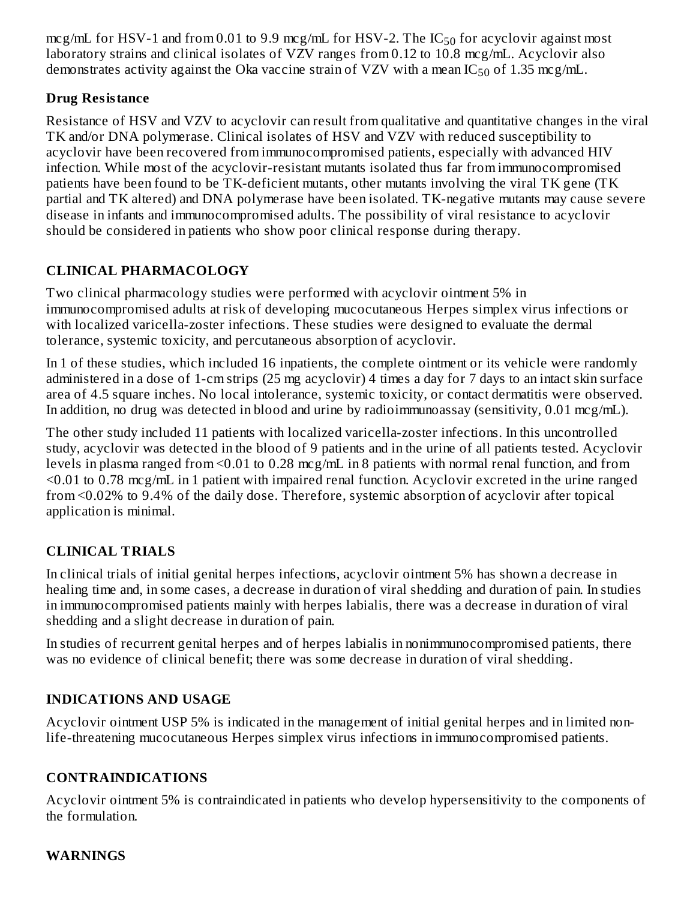mcg/mL for HSV-1 and from 0.01 to 9.9 mcg/mL for HSV-2. The  $IC_{50}$  for acyclovir against most laboratory strains and clinical isolates of VZV ranges from 0.12 to 10.8 mcg/mL. Acyclovir also demonstrates activity against the Oka vaccine strain of VZV with a mean IC $_{50}$  of 1.35 mcg/mL.

# **Drug Resistance**

Resistance of HSV and VZV to acyclovir can result from qualitative and quantitative changes in the viral TK and/or DNA polymerase. Clinical isolates of HSV and VZV with reduced susceptibility to acyclovir have been recovered from immunocompromised patients, especially with advanced HIV infection. While most of the acyclovir-resistant mutants isolated thus far from immunocompromised patients have been found to be TK-deficient mutants, other mutants involving the viral TK gene (TK partial and TK altered) and DNA polymerase have been isolated. TK-negative mutants may cause severe disease in infants and immunocompromised adults. The possibility of viral resistance to acyclovir should be considered in patients who show poor clinical response during therapy.

# **CLINICAL PHARMACOLOGY**

Two clinical pharmacology studies were performed with acyclovir ointment 5% in immunocompromised adults at risk of developing mucocutaneous Herpes simplex virus infections or with localized varicella-zoster infections. These studies were designed to evaluate the dermal tolerance, systemic toxicity, and percutaneous absorption of acyclovir.

In 1 of these studies, which included 16 inpatients, the complete ointment or its vehicle were randomly administered in a dose of 1-cm strips (25 mg acyclovir) 4 times a day for 7 days to an intact skin surface area of 4.5 square inches. No local intolerance, systemic toxicity, or contact dermatitis were observed. In addition, no drug was detected in blood and urine by radioimmunoassay (sensitivity, 0.01 mcg/mL).

The other study included 11 patients with localized varicella-zoster infections. In this uncontrolled study, acyclovir was detected in the blood of 9 patients and in the urine of all patients tested. Acyclovir levels in plasma ranged from <0.01 to 0.28 mcg/mL in 8 patients with normal renal function, and from <0.01 to 0.78 mcg/mL in 1 patient with impaired renal function. Acyclovir excreted in the urine ranged from <0.02% to 9.4% of the daily dose. Therefore, systemic absorption of acyclovir after topical application is minimal.

# **CLINICAL TRIALS**

In clinical trials of initial genital herpes infections, acyclovir ointment 5% has shown a decrease in healing time and, in some cases, a decrease in duration of viral shedding and duration of pain. In studies in immunocompromised patients mainly with herpes labialis, there was a decrease in duration of viral shedding and a slight decrease in duration of pain.

In studies of recurrent genital herpes and of herpes labialis in nonimmunocompromised patients, there was no evidence of clinical benefit; there was some decrease in duration of viral shedding.

# **INDICATIONS AND USAGE**

Acyclovir ointment USP 5% is indicated in the management of initial genital herpes and in limited nonlife-threatening mucocutaneous Herpes simplex virus infections in immunocompromised patients.

#### **CONTRAINDICATIONS**

Acyclovir ointment 5% is contraindicated in patients who develop hypersensitivity to the components of the formulation.

#### **WARNINGS**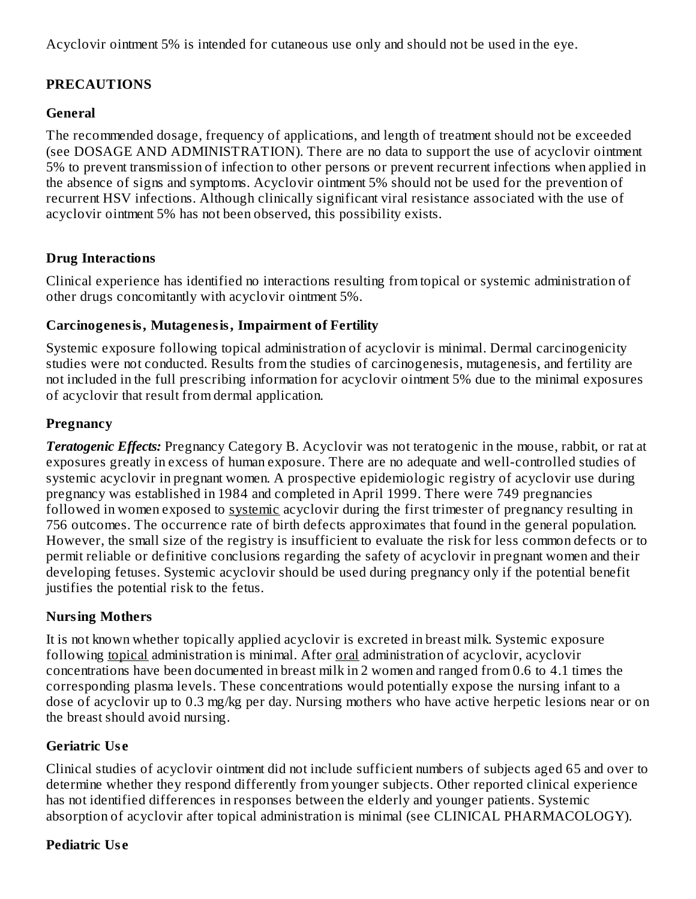Acyclovir ointment 5% is intended for cutaneous use only and should not be used in the eye.

## **PRECAUTIONS**

#### **General**

The recommended dosage, frequency of applications, and length of treatment should not be exceeded (see DOSAGE AND ADMINISTRATION). There are no data to support the use of acyclovir ointment 5% to prevent transmission of infection to other persons or prevent recurrent infections when applied in the absence of signs and symptoms. Acyclovir ointment 5% should not be used for the prevention of recurrent HSV infections. Although clinically significant viral resistance associated with the use of acyclovir ointment 5% has not been observed, this possibility exists.

### **Drug Interactions**

Clinical experience has identified no interactions resulting from topical or systemic administration of other drugs concomitantly with acyclovir ointment 5%.

#### **Carcinogenesis, Mutagenesis, Impairment of Fertility**

Systemic exposure following topical administration of acyclovir is minimal. Dermal carcinogenicity studies were not conducted. Results from the studies of carcinogenesis, mutagenesis, and fertility are not included in the full prescribing information for acyclovir ointment 5% due to the minimal exposures of acyclovir that result from dermal application.

### **Pregnancy**

*Teratogenic Effects:* Pregnancy Category B. Acyclovir was not teratogenic in the mouse, rabbit, or rat at exposures greatly in excess of human exposure. There are no adequate and well-controlled studies of systemic acyclovir in pregnant women. A prospective epidemiologic registry of acyclovir use during pregnancy was established in 1984 and completed in April 1999. There were 749 pregnancies followed in women exposed to systemic acyclovir during the first trimester of pregnancy resulting in 756 outcomes. The occurrence rate of birth defects approximates that found in the general population. However, the small size of the registry is insufficient to evaluate the risk for less common defects or to permit reliable or definitive conclusions regarding the safety of acyclovir in pregnant women and their developing fetuses. Systemic acyclovir should be used during pregnancy only if the potential benefit justifies the potential risk to the fetus.

# **Nursing Mothers**

It is not known whether topically applied acyclovir is excreted in breast milk. Systemic exposure following topical administration is minimal. After oral administration of acyclovir, acyclovir concentrations have been documented in breast milk in 2 women and ranged from 0.6 to 4.1 times the corresponding plasma levels. These concentrations would potentially expose the nursing infant to a dose of acyclovir up to 0.3 mg/kg per day. Nursing mothers who have active herpetic lesions near or on the breast should avoid nursing.

# **Geriatric Us e**

Clinical studies of acyclovir ointment did not include sufficient numbers of subjects aged 65 and over to determine whether they respond differently from younger subjects. Other reported clinical experience has not identified differences in responses between the elderly and younger patients. Systemic absorption of acyclovir after topical administration is minimal (see CLINICAL PHARMACOLOGY).

# **Pediatric Us e**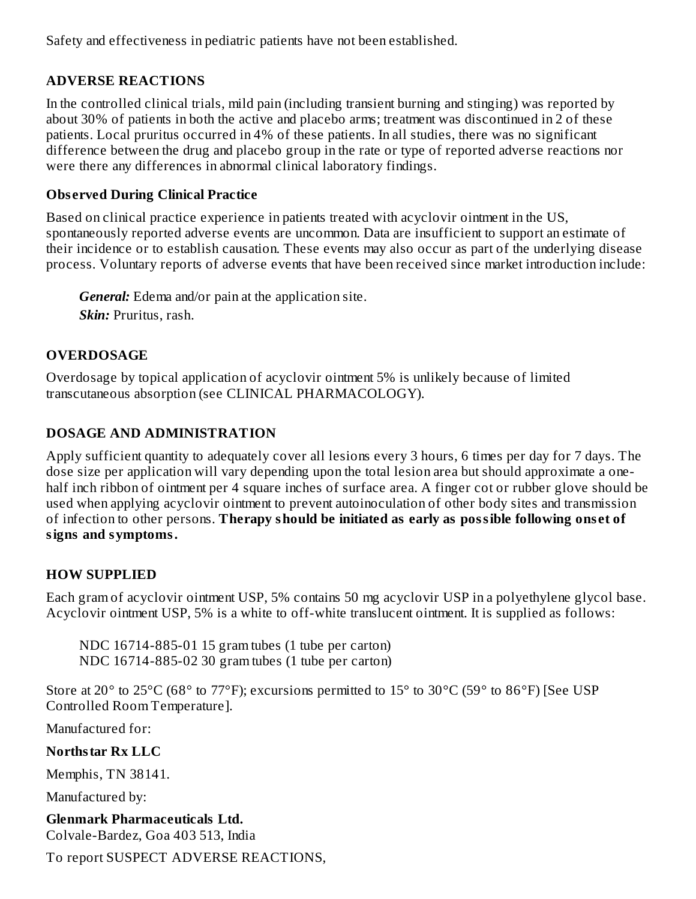Safety and effectiveness in pediatric patients have not been established.

# **ADVERSE REACTIONS**

In the controlled clinical trials, mild pain (including transient burning and stinging) was reported by about 30% of patients in both the active and placebo arms; treatment was discontinued in 2 of these patients. Local pruritus occurred in 4% of these patients. In all studies, there was no significant difference between the drug and placebo group in the rate or type of reported adverse reactions nor were there any differences in abnormal clinical laboratory findings.

# **Obs erved During Clinical Practice**

Based on clinical practice experience in patients treated with acyclovir ointment in the US, spontaneously reported adverse events are uncommon. Data are insufficient to support an estimate of their incidence or to establish causation. These events may also occur as part of the underlying disease process. Voluntary reports of adverse events that have been received since market introduction include:

*General:* Edema and/or pain at the application site. *Skin:* Pruritus, rash.

# **OVERDOSAGE**

Overdosage by topical application of acyclovir ointment 5% is unlikely because of limited transcutaneous absorption (see CLINICAL PHARMACOLOGY).

# **DOSAGE AND ADMINISTRATION**

Apply sufficient quantity to adequately cover all lesions every 3 hours, 6 times per day for 7 days. The dose size per application will vary depending upon the total lesion area but should approximate a onehalf inch ribbon of ointment per 4 square inches of surface area. A finger cot or rubber glove should be used when applying acyclovir ointment to prevent autoinoculation of other body sites and transmission of infection to other persons. **Therapy should be initiated as early as possible following ons et of signs and symptoms.**

# **HOW SUPPLIED**

Each gram of acyclovir ointment USP, 5% contains 50 mg acyclovir USP in a polyethylene glycol base. Acyclovir ointment USP, 5% is a white to off-white translucent ointment. It is supplied as follows:

NDC 16714-885-01 15 gram tubes (1 tube per carton) NDC 16714-885-02 30 gram tubes (1 tube per carton)

Store at 20° to 25°C (68° to 77°F); excursions permitted to 15° to 30°C (59° to 86°F) [See USP Controlled Room Temperature].

Manufactured for:

# **Northstar Rx LLC**

Memphis, TN 38141.

Manufactured by:

**Glenmark Pharmaceuticals Ltd.** Colvale-Bardez, Goa 403 513, India

To report SUSPECT ADVERSE REACTIONS,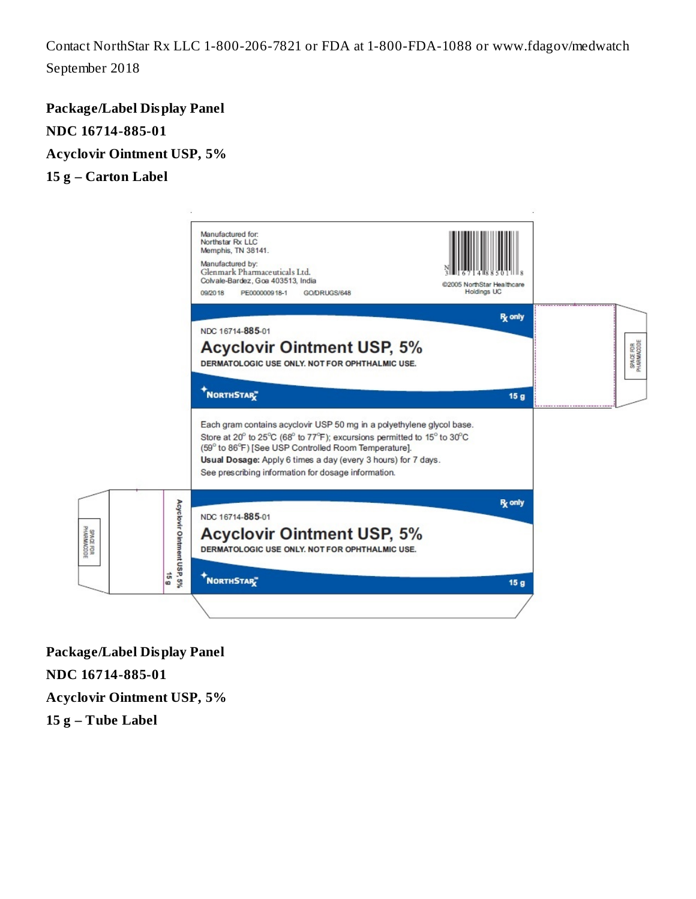Contact NorthStar Rx LLC 1-800-206-7821 or FDA at 1-800-FDA-1088 or www.fdagov/medwatch September 2018

**Package/Label Display Panel NDC 16714-885-01 Acyclovir Ointment USP, 5% 15 g – Carton Label**



**Package/Label Display Panel NDC 16714-885-01 Acyclovir Ointment USP, 5% 15 g – Tube Label**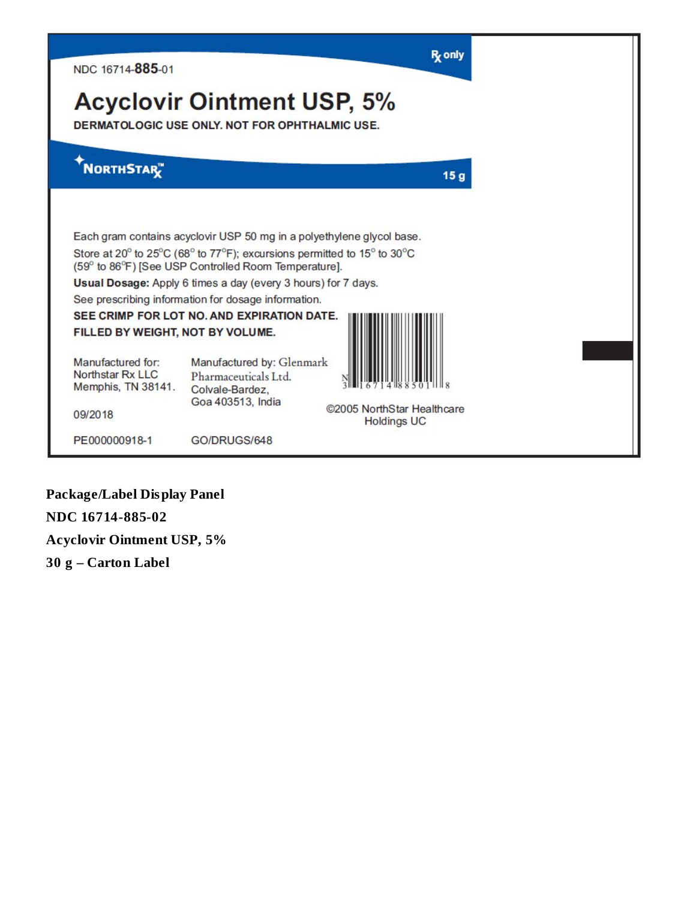| NDC 16714-885-01                                            |                                                                                                                                                                                                          | R <sub>z</sub> only |
|-------------------------------------------------------------|----------------------------------------------------------------------------------------------------------------------------------------------------------------------------------------------------------|---------------------|
|                                                             | <b>Acyclovir Ointment USP, 5%</b><br>DERMATOLOGIC USE ONLY, NOT FOR OPHTHALMIC USE.                                                                                                                      |                     |
| <b>NORTHSTAR</b> "                                          |                                                                                                                                                                                                          | 15 <sub>g</sub>     |
|                                                             | Each gram contains acyclovir USP 50 mg in a polyethylene glycol base.<br>Store at 20° to 25°C (68° to 77°F); excursions permitted to 15° to 30°C<br>(59° to 86°F) [See USP Controlled Room Temperature]. |                     |
|                                                             | Usual Dosage: Apply 6 times a day (every 3 hours) for 7 days.                                                                                                                                            |                     |
|                                                             | See prescribing information for dosage information.                                                                                                                                                      |                     |
|                                                             | SEE CRIMP FOR LOT NO. AND EXPIRATION DATE.                                                                                                                                                               |                     |
| FILLED BY WEIGHT, NOT BY VOLUME.                            |                                                                                                                                                                                                          |                     |
| Manufactured for:<br>Northstar Rx LLC<br>Memphis, TN 38141. | Manufactured by: Glenmark<br>Pharmaceuticals Ltd.<br>Colvale-Bardez,<br>Goa 403513, India                                                                                                                |                     |
| 09/2018                                                     | @2005 NorthStar Healthcare<br><b>Holdings UC</b>                                                                                                                                                         |                     |
| PE000000918-1                                               | GO/DRUGS/648                                                                                                                                                                                             |                     |

**Package/Label Display Panel NDC 16714-885-02 Acyclovir Ointment USP, 5% 30 g – Carton Label**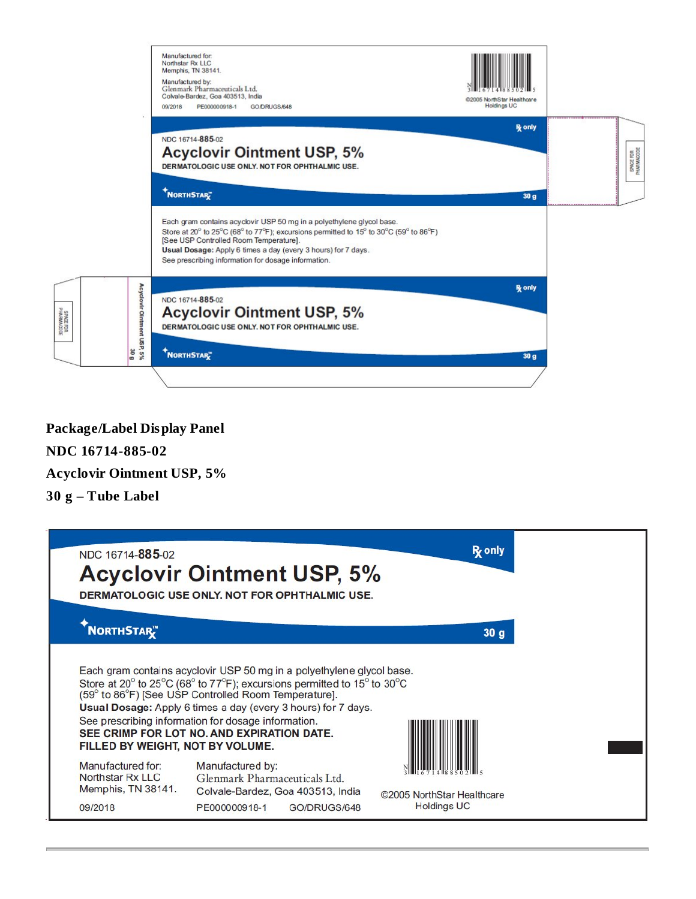|                                                              | Manufactured for:<br>Northstar Rx LLC<br>Memphis, TN 38141.<br>Manufactured by:<br>Glenmark Pharmaceuticals Ltd.<br>Colvale-Bardez, Goa 403513, India<br>09/2018<br>PE000000918-1<br>GO/DRUGS/648                                                                                                                                | @2005 NorthStar Healthcare<br><b>Holdings UC</b> |                         |
|--------------------------------------------------------------|----------------------------------------------------------------------------------------------------------------------------------------------------------------------------------------------------------------------------------------------------------------------------------------------------------------------------------|--------------------------------------------------|-------------------------|
|                                                              | NDC 16714-885-02<br><b>Acyclovir Ointment USP, 5%</b><br>DERMATOLOGIC USE ONLY, NOT FOR OPHTHALMIC USE.<br>NORTHSTAR <sup>T</sup>                                                                                                                                                                                                | <b>R</b> <sub>c</sub> only<br>30 <sub>g</sub>    | SPACE FOR<br>PHARMACODE |
|                                                              | Each gram contains acyclovir USP 50 mg in a polyethylene glycol base.<br>Store at 20° to 25°C (68° to 77°F); excursions permitted to 15° to 30°C (59° to 86°F)<br>[See USP Controlled Room Temperature].<br>Usual Dosage: Apply 6 times a day (every 3 hours) for 7 days.<br>See prescribing information for dosage information. |                                                  |                         |
| Acyclovir Ointment USP, 5%<br>SPACE FOR<br>PHARMOODE<br>30 g | NDC 16714-885-02<br><b>Acyclovir Ointment USP, 5%</b><br>DERMATOLOGIC USE ONLY, NOT FOR OPHTHALMIC USE.<br>NORTHSTARE                                                                                                                                                                                                            | <b>R</b> <sub>c</sub> only<br>30 <sub>g</sub>    |                         |
|                                                              |                                                                                                                                                                                                                                                                                                                                  |                                                  |                         |

# **Package/Label Display Panel NDC 16714-885-02 Acyclovir Ointment USP, 5% 30 g – Tube Label**

| NDC 16714-885-02                                                       | <b>Acyclovir Ointment USP, 5%</b><br>DERMATOLOGIC USE ONLY, NOT FOR OPHTHALMIC USE.                                                                                                                                                                                                                                                                                            | <b>R</b> <sub>c</sub> only                       |
|------------------------------------------------------------------------|--------------------------------------------------------------------------------------------------------------------------------------------------------------------------------------------------------------------------------------------------------------------------------------------------------------------------------------------------------------------------------|--------------------------------------------------|
| NORTHSTAR™                                                             |                                                                                                                                                                                                                                                                                                                                                                                | 30q                                              |
| FILLED BY WEIGHT, NOT BY VOLUME.                                       | Each gram contains acyclovir USP 50 mg in a polyethylene glycol base.<br>Store at 20° to 25°C (68° to 77°F); excursions permitted to 15° to 30°C<br>(59° to 86°F) [See USP Controlled Room Temperature].<br>Usual Dosage: Apply 6 times a day (every 3 hours) for 7 days.<br>See prescribing information for dosage information.<br>SEE CRIMP FOR LOT NO. AND EXPIRATION DATE. |                                                  |
| Manufactured for:<br>Northstar Rx LLC<br>Memphis, TN 38141.<br>09/2018 | Manufactured by:<br>Glenmark Pharmaceuticals Ltd.<br>Colvale-Bardez, Goa 403513, India<br>PE000000918-1<br>GO/DRUGS/648                                                                                                                                                                                                                                                        | ©2005 NorthStar Healthcare<br><b>Holdings UC</b> |